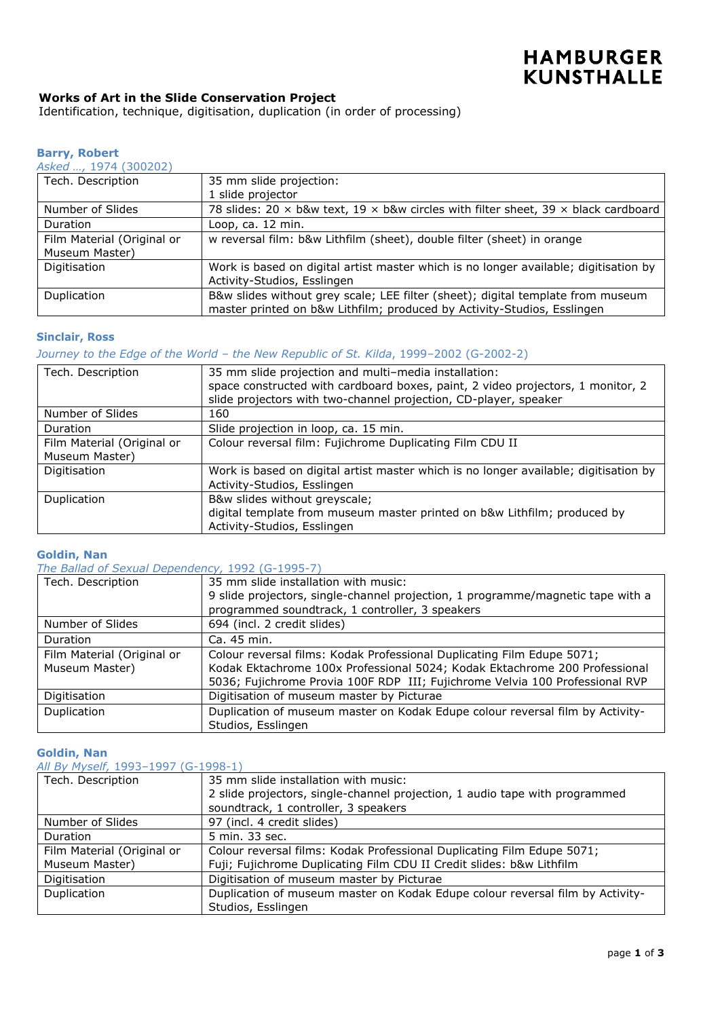### **Works of Art in the Slide Conservation Project**

Identification, technique, digitisation, duplication (in order of processing)

# **Barry, Robert**

| 35 mm slide projection:                                                                                                                                    |
|------------------------------------------------------------------------------------------------------------------------------------------------------------|
| 1 slide projector                                                                                                                                          |
| 78 slides: $20 \times b$ &w text, $19 \times b$ &w circles with filter sheet, $39 \times b$ lack cardboard                                                 |
| Loop, ca. 12 min.                                                                                                                                          |
| w reversal film: b&w Lithfilm (sheet), double filter (sheet) in orange                                                                                     |
|                                                                                                                                                            |
| Work is based on digital artist master which is no longer available; digitisation by                                                                       |
| Activity-Studios, Esslingen                                                                                                                                |
| B&w slides without grey scale; LEE filter (sheet); digital template from museum<br>master printed on b&w Lithfilm; produced by Activity-Studios, Esslingen |
|                                                                                                                                                            |

### **Sinclair, Ross**

### *Journey to the Edge of the World – the New Republic of St. Kilda*, 1999–2002 (G-2002-2)

| Tech. Description          | 35 mm slide projection and multi-media installation:                                 |
|----------------------------|--------------------------------------------------------------------------------------|
|                            | space constructed with cardboard boxes, paint, 2 video projectors, 1 monitor, 2      |
|                            | slide projectors with two-channel projection, CD-player, speaker                     |
| Number of Slides           | 160                                                                                  |
| Duration                   | Slide projection in loop, ca. 15 min.                                                |
| Film Material (Original or | Colour reversal film: Fujichrome Duplicating Film CDU II                             |
| Museum Master)             |                                                                                      |
| Digitisation               | Work is based on digital artist master which is no longer available; digitisation by |
|                            | Activity-Studios, Esslingen                                                          |
| Duplication                | B&w slides without greyscale;                                                        |
|                            | digital template from museum master printed on b&w Lithfilm; produced by             |
|                            | Activity-Studios, Esslingen                                                          |

### **Goldin, Nan**

*The Ballad of Sexual Dependency,* 1992 (G-1995-7)

| Tech. Description          | 35 mm slide installation with music:                                            |
|----------------------------|---------------------------------------------------------------------------------|
|                            | 9 slide projectors, single-channel projection, 1 programme/magnetic tape with a |
|                            | programmed soundtrack, 1 controller, 3 speakers                                 |
| Number of Slides           | 694 (incl. 2 credit slides)                                                     |
| Duration                   | Ca. 45 min.                                                                     |
| Film Material (Original or | Colour reversal films: Kodak Professional Duplicating Film Edupe 5071;          |
| Museum Master)             | Kodak Ektachrome 100x Professional 5024; Kodak Ektachrome 200 Professional      |
|                            | 5036; Fujichrome Provia 100F RDP III; Fujichrome Velvia 100 Professional RVP    |
| Digitisation               | Digitisation of museum master by Picturae                                       |
| Duplication                | Duplication of museum master on Kodak Edupe colour reversal film by Activity-   |
|                            | Studios, Esslingen                                                              |

#### **Goldin, Nan**

*All By Myself,* 1993–1997 (G-1998-1)

| <u>AII Dy Piyseli, 1999–1997 (U-1990-1)</u> |                                                                               |
|---------------------------------------------|-------------------------------------------------------------------------------|
| Tech. Description                           | 35 mm slide installation with music:                                          |
|                                             | 2 slide projectors, single-channel projection, 1 audio tape with programmed   |
|                                             | soundtrack, 1 controller, 3 speakers                                          |
| Number of Slides                            | 97 (incl. 4 credit slides)                                                    |
| <b>Duration</b>                             | 5 min. 33 sec.                                                                |
| Film Material (Original or                  | Colour reversal films: Kodak Professional Duplicating Film Edupe 5071;        |
| Museum Master)                              | Fuji; Fujichrome Duplicating Film CDU II Credit slides: b&w Lithfilm          |
| Digitisation                                | Digitisation of museum master by Picturae                                     |
| Duplication                                 | Duplication of museum master on Kodak Edupe colour reversal film by Activity- |
|                                             | Studios, Esslingen                                                            |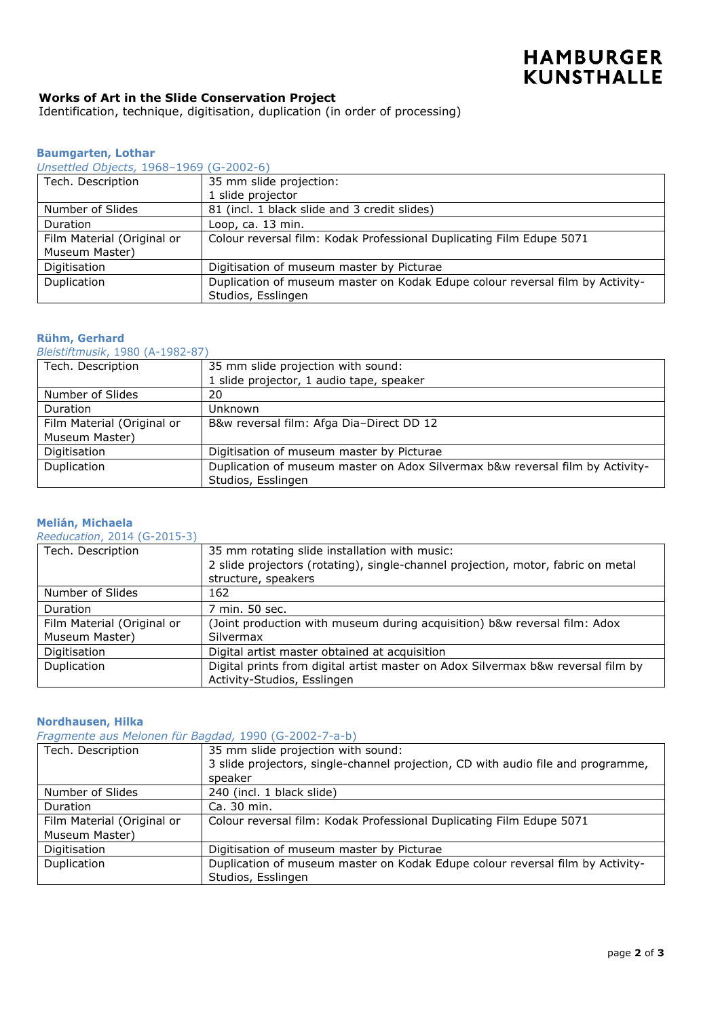# **Works of Art in the Slide Conservation Project**

Identification, technique, digitisation, duplication (in order of processing)

### **Baumgarten, Lothar**

#### *Unsettled Objects,* 1968–1969 (G-2002-6)

| UNSCHICU ODICCIS, IJOO IJOJ (O ZOOZ O) |                                                                               |
|----------------------------------------|-------------------------------------------------------------------------------|
| Tech. Description                      | 35 mm slide projection:                                                       |
|                                        | 1 slide projector                                                             |
| Number of Slides                       | 81 (incl. 1 black slide and 3 credit slides)                                  |
| Duration                               | Loop, ca. 13 min.                                                             |
| Film Material (Original or             | Colour reversal film: Kodak Professional Duplicating Film Edupe 5071          |
| Museum Master)                         |                                                                               |
| Digitisation                           | Digitisation of museum master by Picturae                                     |
| Duplication                            | Duplication of museum master on Kodak Edupe colour reversal film by Activity- |
|                                        | Studios, Esslingen                                                            |

# **Rühm, Gerhard**

*Bleistiftmusik*, 1980 (A-1982-87)

| Tech. Description          | 35 mm slide projection with sound:                                            |
|----------------------------|-------------------------------------------------------------------------------|
|                            | 1 slide projector, 1 audio tape, speaker                                      |
| Number of Slides           | 20                                                                            |
| Duration                   | Unknown                                                                       |
| Film Material (Original or | B&w reversal film: Afga Dia-Direct DD 12                                      |
| Museum Master)             |                                                                               |
| Digitisation               | Digitisation of museum master by Picturae                                     |
| Duplication                | Duplication of museum master on Adox Silvermax b&w reversal film by Activity- |
|                            | Studios, Esslingen                                                            |

### **Melián, Michaela**

*Reeducation*, 2014 (G-2015-3)

| Tech. Description          | 35 mm rotating slide installation with music:                                    |
|----------------------------|----------------------------------------------------------------------------------|
|                            | 2 slide projectors (rotating), single-channel projection, motor, fabric on metal |
|                            | structure, speakers                                                              |
| Number of Slides           | 162                                                                              |
| <b>Duration</b>            | 7 min. 50 sec.                                                                   |
| Film Material (Original or | (Joint production with museum during acquisition) b&w reversal film: Adox        |
| Museum Master)             | <b>Silvermax</b>                                                                 |
| Digitisation               | Digital artist master obtained at acquisition                                    |
| Duplication                | Digital prints from digital artist master on Adox Silvermax b&w reversal film by |
|                            | Activity-Studios, Esslingen                                                      |

### **Nordhausen, Hilka**

# *Fragmente aus Melonen für Bagdad,* 1990 (G-2002-7-a-b)

| Tech. Description          | 35 mm slide projection with sound:                                               |
|----------------------------|----------------------------------------------------------------------------------|
|                            | 3 slide projectors, single-channel projection, CD with audio file and programme, |
|                            | speaker                                                                          |
| Number of Slides           | 240 (incl. 1 black slide)                                                        |
| <b>Duration</b>            | Ca. 30 min.                                                                      |
| Film Material (Original or | Colour reversal film: Kodak Professional Duplicating Film Edupe 5071             |
| Museum Master)             |                                                                                  |
| Digitisation               | Digitisation of museum master by Picturae                                        |
| Duplication                | Duplication of museum master on Kodak Edupe colour reversal film by Activity-    |
|                            | Studios, Esslingen                                                               |